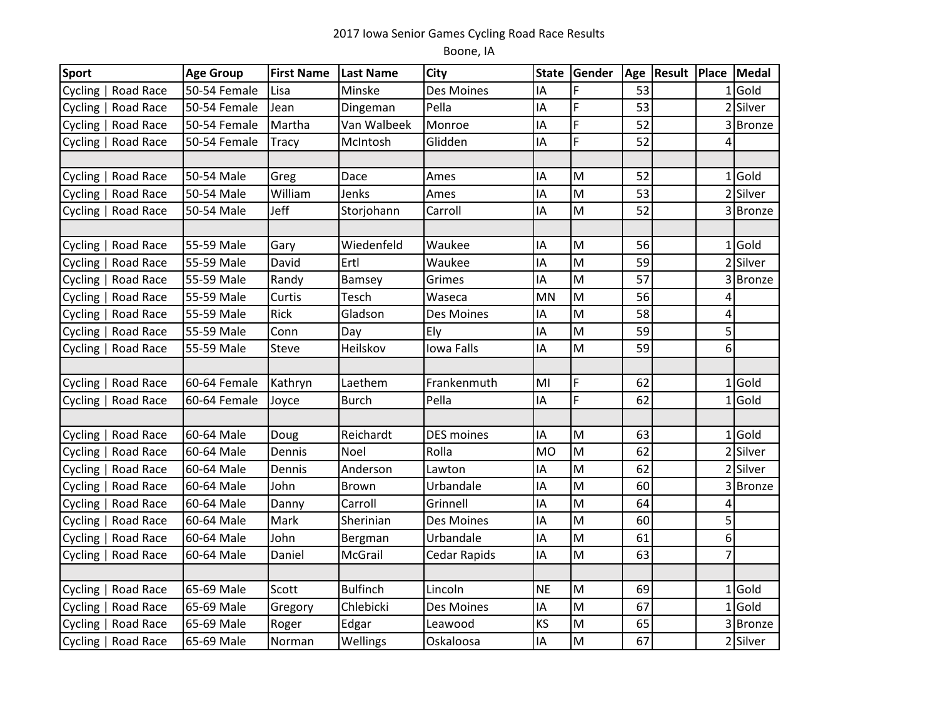## 2017 Iowa Senior Games Cycling Road Race Results

## Boone, IA

| <b>Sport</b>        | <b>Age Group</b> | <b>First Name</b> | <b>Last Name</b> | <b>City</b>       |           | State Gender | Age | <b>Result Place Medal</b> |                |          |
|---------------------|------------------|-------------------|------------------|-------------------|-----------|--------------|-----|---------------------------|----------------|----------|
| Cycling   Road Race | 50-54 Female     | Lisa              | Minske           | Des Moines        | IA        | F            | 53  |                           | $\mathbf{1}$   | Gold     |
| Cycling   Road Race | 50-54 Female     | Jean              | Dingeman         | Pella             | IA        | F            | 53  |                           |                | 2 Silver |
| Cycling   Road Race | 50-54 Female     | Martha            | Van Walbeek      | Monroe            | IA        | F            | 52  |                           |                | 3 Bronze |
| Cycling   Road Race | 50-54 Female     | Tracy             | McIntosh         | Glidden           | IA        | F            | 52  |                           | 4              |          |
|                     |                  |                   |                  |                   |           |              |     |                           |                |          |
| Cycling   Road Race | 50-54 Male       | Greg              | Dace             | Ames              | IA        | M            | 52  |                           | $\mathbf{1}$   | Gold     |
| Cycling   Road Race | 50-54 Male       | William           | Jenks            | Ames              | IA        | M            | 53  |                           |                | 2 Silver |
| Cycling   Road Race | 50-54 Male       | <b>Jeff</b>       | Storjohann       | Carroll           | IΑ        | M            | 52  |                           |                | 3 Bronze |
|                     |                  |                   |                  |                   |           |              |     |                           |                |          |
| Cycling   Road Race | 55-59 Male       | Gary              | Wiedenfeld       | Waukee            | IΑ        | M            | 56  |                           | $\mathbf{1}$   | Gold     |
| Cycling   Road Race | 55-59 Male       | David             | Ertl             | Waukee            | IA        | M            | 59  |                           |                | 2 Silver |
| Cycling   Road Race | 55-59 Male       | Randy             | Bamsey           | Grimes            | IA        | M            | 57  |                           |                | 3 Bronze |
| Cycling   Road Race | 55-59 Male       | Curtis            | Tesch            | Waseca            | MN        | M            | 56  |                           | 4              |          |
| Cycling   Road Race | 55-59 Male       | Rick              | Gladson          | Des Moines        | IA        | M            | 58  |                           | 4              |          |
| Cycling   Road Race | 55-59 Male       | Conn              | Day              | Ely               | IA        | M            | 59  |                           | 5              |          |
| Cycling   Road Race | 55-59 Male       | <b>Steve</b>      | Heilskov         | Iowa Falls        | IA        | M            | 59  |                           | 6              |          |
|                     |                  |                   |                  |                   |           |              |     |                           |                |          |
| Cycling   Road Race | 60-64 Female     | Kathryn           | Laethem          | Frankenmuth       | MI        | F            | 62  |                           |                | $1$ Gold |
| Cycling   Road Race | 60-64 Female     | Joyce             | <b>Burch</b>     | Pella             | IA        | F            | 62  |                           |                | $1$ Gold |
|                     |                  |                   |                  |                   |           |              |     |                           |                |          |
| Cycling   Road Race | 60-64 Male       | Doug              | Reichardt        | <b>DES moines</b> | IA        | M            | 63  |                           | $\mathbf{1}$   | Gold     |
| Cycling   Road Race | 60-64 Male       | Dennis            | Noel             | Rolla             | <b>MO</b> | M            | 62  |                           |                | 2 Silver |
| Cycling   Road Race | 60-64 Male       | Dennis            | Anderson         | Lawton            | IA        | M            | 62  |                           |                | 2 Silver |
| Cycling   Road Race | 60-64 Male       | John              | <b>Brown</b>     | Urbandale         | IA        | M            | 60  |                           |                | 3 Bronze |
| Cycling   Road Race | 60-64 Male       | Danny             | Carroll          | Grinnell          | IA        | M            | 64  |                           | 4              |          |
| Cycling   Road Race | 60-64 Male       | Mark              | Sherinian        | Des Moines        | IA        | M            | 60  |                           | 5              |          |
| Cycling   Road Race | 60-64 Male       | John              | Bergman          | Urbandale         | IA        | M            | 61  |                           | 6              |          |
| Cycling   Road Race | 60-64 Male       | Daniel            | McGrail          | Cedar Rapids      | IA        | M            | 63  |                           | $\overline{7}$ |          |
|                     |                  |                   |                  |                   |           |              |     |                           |                |          |
| Cycling   Road Race | 65-69 Male       | Scott             | <b>Bulfinch</b>  | Lincoln           | <b>NE</b> | M            | 69  |                           |                | $1$ Gold |
| Cycling   Road Race | 65-69 Male       | Gregory           | Chlebicki        | Des Moines        | IA        | M            | 67  |                           |                | $1$ Gold |
| Cycling   Road Race | 65-69 Male       | Roger             | Edgar            | Leawood           | KS        | M            | 65  |                           |                | 3 Bronze |
| Cycling   Road Race | 65-69 Male       | Norman            | Wellings         | Oskaloosa         | IA        | M            | 67  |                           |                | 2 Silver |